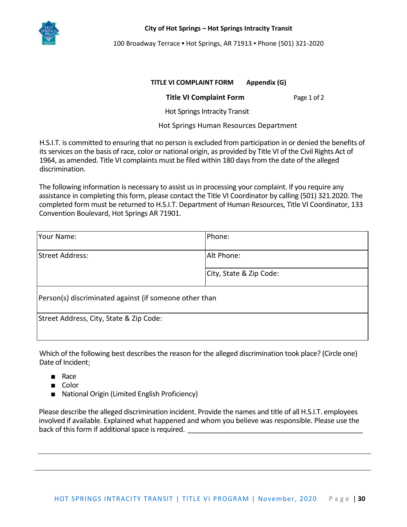

100 Broadway Terrace ▪ Hot Springs, AR 71913 ▪ Phone (501) 321-2020

## **TITLE VI COMPLAINT FORM Appendix (G)**

## **Title VI Complaint Form** Page 1 of 2

Hot Springs Intracity Transit

Hot Springs Human Resources Department

H.S.I.T. is committed to ensuring that no person is excluded from participation in or denied the benefits of its services on the basis of race, color or national origin, as provided by Title VI of the Civil Rights Act of 1964, as amended. Title VI complaints must be filed within 180 days from the date of the alleged discrimination.

The following information is necessary to assist us in processing your complaint. If you require any assistance in completing this form, please contact the Title VI Coordinator by calling (501) 321.2020. The completed form must be returned to H.S.I.T. Department of Human Resources, Title VI Coordinator, 133 Convention Boulevard, Hot Springs AR 71901.

| Your Name:                                             | Phone:                  |
|--------------------------------------------------------|-------------------------|
| Street Address:                                        | Alt Phone:              |
|                                                        | City, State & Zip Code: |
| Person(s) discriminated against (if someone other than |                         |
| Street Address, City, State & Zip Code:                |                         |

Which of the following best describes the reason for the alleged discrimination took place? (Circle one) Date of Incident:

- Race
- Color
- National Origin (Limited English Proficiency)

Please describe the alleged discrimination incident. Provide the names and title of all H.S.I.T. employees involved if available. Explained what happened and whom you believe was responsible. Please use the back of this form if additional space is required.